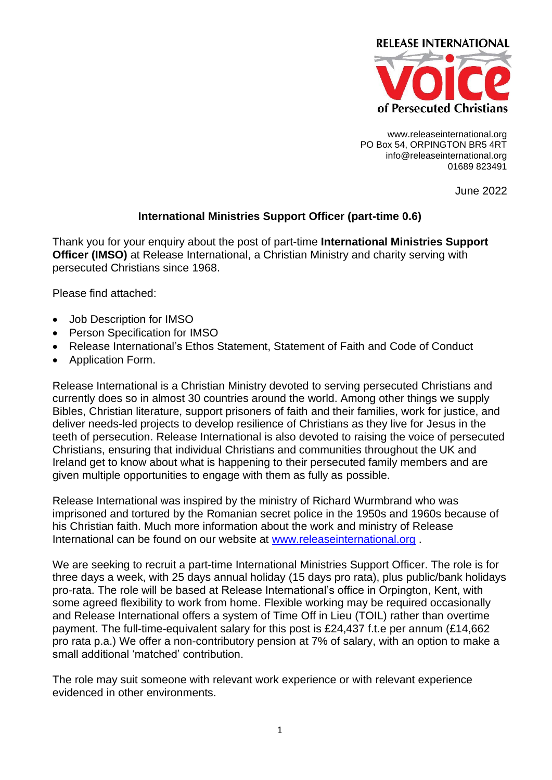

www.releaseinternational.org PO Box 54, ORPINGTON BR5 4RT info@releaseinternational.org 01689 823491

June 2022

### **International Ministries Support Officer (part-time 0.6)**

Thank you for your enquiry about the post of part-time **International Ministries Support Officer (IMSO)** at Release International, a Christian Ministry and charity serving with persecuted Christians since 1968.

Please find attached:

- Job Description for IMSO
- Person Specification for IMSO
- Release International's Ethos Statement, Statement of Faith and Code of Conduct
- Application Form.

Release International is a Christian Ministry devoted to serving persecuted Christians and currently does so in almost 30 countries around the world. Among other things we supply Bibles, Christian literature, support prisoners of faith and their families, work for justice, and deliver needs-led projects to develop resilience of Christians as they live for Jesus in the teeth of persecution. Release International is also devoted to raising the voice of persecuted Christians, ensuring that individual Christians and communities throughout the UK and Ireland get to know about what is happening to their persecuted family members and are given multiple opportunities to engage with them as fully as possible.

Release International was inspired by the ministry of Richard Wurmbrand who was imprisoned and tortured by the Romanian secret police in the 1950s and 1960s because of his Christian faith. Much more information about the work and ministry of Release International can be found on our website at [www.releaseinternational.org](http://www.releaseinternational.org/) .

We are seeking to recruit a part-time International Ministries Support Officer. The role is for three days a week, with 25 days annual holiday (15 days pro rata), plus public/bank holidays pro-rata. The role will be based at Release International's office in Orpington, Kent, with some agreed flexibility to work from home. Flexible working may be required occasionally and Release International offers a system of Time Off in Lieu (TOIL) rather than overtime payment. The full-time-equivalent salary for this post is £24,437 f.t.e per annum (£14,662 pro rata p.a.) We offer a non-contributory pension at 7% of salary, with an option to make a small additional 'matched' contribution.

The role may suit someone with relevant work experience or with relevant experience evidenced in other environments.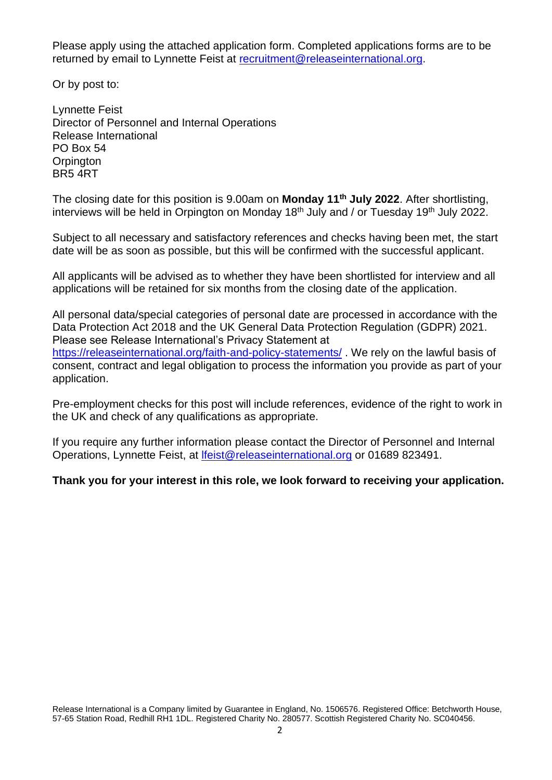Please apply using the attached application form. Completed applications forms are to be returned by email to Lynnette Feist at [recruitment@releaseinternational.org.](mailto:recruitment@releaseinternational.org)

Or by post to:

Lynnette Feist Director of Personnel and Internal Operations Release International PO Box 54 **Orpington** BR5 4RT

The closing date for this position is 9.00am on **Monday 11th July 2022**. After shortlisting, interviews will be held in Orpington on Monday  $18<sup>th</sup>$  July and / or Tuesday  $19<sup>th</sup>$  July 2022.

Subject to all necessary and satisfactory references and checks having been met, the start date will be as soon as possible, but this will be confirmed with the successful applicant.

All applicants will be advised as to whether they have been shortlisted for interview and all applications will be retained for six months from the closing date of the application.

All personal data/special categories of personal date are processed in accordance with the Data Protection Act 2018 and the UK General Data Protection Regulation (GDPR) 2021. Please see Release International's Privacy Statement at

<https://releaseinternational.org/faith-and-policy-statements/> . We rely on the lawful basis of consent, contract and legal obligation to process the information you provide as part of your application.

Pre-employment checks for this post will include references, evidence of the right to work in the UK and check of any qualifications as appropriate.

If you require any further information please contact the Director of Personnel and Internal Operations, Lynnette Feist, at [lfeist@releaseinternational.org](mailto:lfeist@releaseinternational.org) or 01689 823491.

**Thank you for your interest in this role, we look forward to receiving your application.**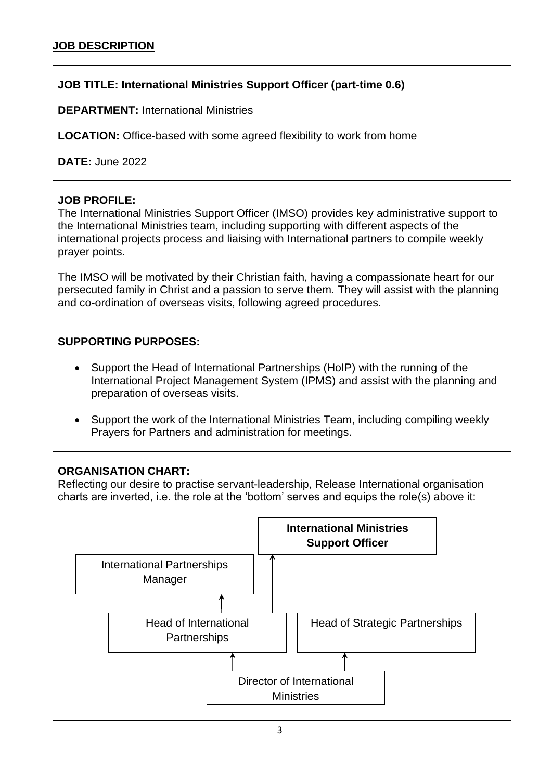# **JOB TITLE: International Ministries Support Officer (part-time 0.6)**

**DEPARTMENT:** International Ministries

**LOCATION:** Office-based with some agreed flexibility to work from home

**DATE:** June 2022

### **JOB PROFILE:**

The International Ministries Support Officer (IMSO) provides key administrative support to the International Ministries team, including supporting with different aspects of the international projects process and liaising with International partners to compile weekly prayer points.

The IMSO will be motivated by their Christian faith, having a compassionate heart for our persecuted family in Christ and a passion to serve them. They will assist with the planning and co-ordination of overseas visits, following agreed procedures.

## **SUPPORTING PURPOSES:**

- Support the Head of International Partnerships (HoIP) with the running of the International Project Management System (IPMS) and assist with the planning and preparation of overseas visits.
- Support the work of the International Ministries Team, including compiling weekly Prayers for Partners and administration for meetings.

## **ORGANISATION CHART:**

Reflecting our desire to practise servant-leadership, Release International organisation charts are inverted, i.e. the role at the 'bottom' serves and equips the role(s) above it:

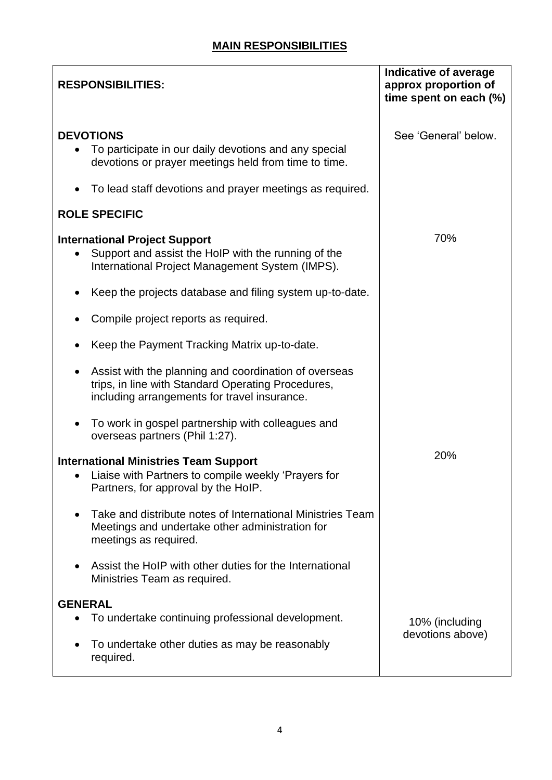| <b>RESPONSIBILITIES:</b>                                                                                                                                    | <b>Indicative of average</b><br>approx proportion of<br>time spent on each (%) |
|-------------------------------------------------------------------------------------------------------------------------------------------------------------|--------------------------------------------------------------------------------|
| <b>DEVOTIONS</b><br>To participate in our daily devotions and any special<br>devotions or prayer meetings held from time to time.                           | See 'General' below.                                                           |
| To lead staff devotions and prayer meetings as required.                                                                                                    |                                                                                |
| <b>ROLE SPECIFIC</b>                                                                                                                                        |                                                                                |
| <b>International Project Support</b><br>Support and assist the HoIP with the running of the<br>$\bullet$<br>International Project Management System (IMPS). | 70%                                                                            |
| Keep the projects database and filing system up-to-date.                                                                                                    |                                                                                |
| Compile project reports as required.                                                                                                                        |                                                                                |
| Keep the Payment Tracking Matrix up-to-date.                                                                                                                |                                                                                |
| Assist with the planning and coordination of overseas<br>trips, in line with Standard Operating Procedures,<br>including arrangements for travel insurance. |                                                                                |
| To work in gospel partnership with colleagues and<br>overseas partners (Phil 1:27).                                                                         |                                                                                |
| <b>International Ministries Team Support</b><br>Liaise with Partners to compile weekly 'Prayers for<br>$\bullet$<br>Partners, for approval by the HoIP.     | 20%                                                                            |
| Take and distribute notes of International Ministries Team<br>Meetings and undertake other administration for<br>meetings as required.                      |                                                                                |
| Assist the HoIP with other duties for the International<br>Ministries Team as required.                                                                     |                                                                                |
| <b>GENERAL</b>                                                                                                                                              |                                                                                |
| To undertake continuing professional development.                                                                                                           | 10% (including<br>devotions above)                                             |
| To undertake other duties as may be reasonably<br>required.                                                                                                 |                                                                                |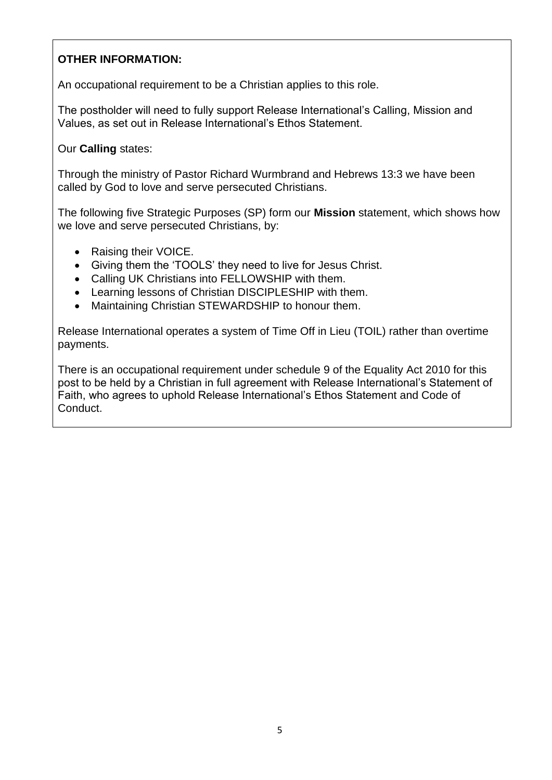## **OTHER INFORMATION:**

An occupational requirement to be a Christian applies to this role.

The postholder will need to fully support Release International's Calling, Mission and Values, as set out in Release International's Ethos Statement.

Our **Calling** states:

Through the ministry of Pastor Richard Wurmbrand and Hebrews 13:3 we have been called by God to love and serve persecuted Christians.

The following five Strategic Purposes (SP) form our **Mission** statement, which shows how we love and serve persecuted Christians, by:

- Raising their VOICE.
- Giving them the 'TOOLS' they need to live for Jesus Christ.
- Calling UK Christians into FELLOWSHIP with them.
- Learning lessons of Christian DISCIPLESHIP with them.
- Maintaining Christian STEWARDSHIP to honour them.

Release International operates a system of Time Off in Lieu (TOIL) rather than overtime payments.

There is an occupational requirement under schedule 9 of the Equality Act 2010 for this post to be held by a Christian in full agreement with Release International's Statement of Faith, who agrees to uphold Release International's Ethos Statement and Code of Conduct.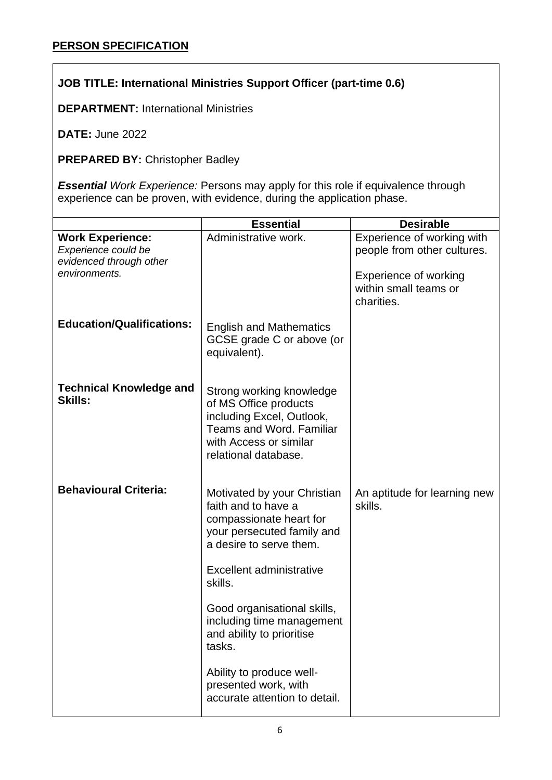# **JOB TITLE: International Ministries Support Officer (part-time 0.6)**

**DEPARTMENT:** International Ministries

**DATE:** June 2022

**PREPARED BY:** Christopher Badley

*Essential Work Experience:* Persons may apply for this role if equivalence through experience can be proven, with evidence, during the application phase.

|                                                                                            | <b>Essential</b>                                                                                                                                                              | <b>Desirable</b>                                                                                                   |
|--------------------------------------------------------------------------------------------|-------------------------------------------------------------------------------------------------------------------------------------------------------------------------------|--------------------------------------------------------------------------------------------------------------------|
| <b>Work Experience:</b><br>Experience could be<br>evidenced through other<br>environments. | Administrative work.                                                                                                                                                          | Experience of working with<br>people from other cultures.<br><b>Experience of working</b><br>within small teams or |
|                                                                                            |                                                                                                                                                                               | charities.                                                                                                         |
| <b>Education/Qualifications:</b>                                                           | <b>English and Mathematics</b><br>GCSE grade C or above (or<br>equivalent).                                                                                                   |                                                                                                                    |
| <b>Technical Knowledge and</b><br><b>Skills:</b>                                           | Strong working knowledge<br>of MS Office products<br>including Excel, Outlook,<br><b>Teams and Word, Familiar</b><br>with Access or similar<br>relational database.           |                                                                                                                    |
| <b>Behavioural Criteria:</b>                                                               | Motivated by your Christian<br>faith and to have a<br>compassionate heart for<br>your persecuted family and<br>a desire to serve them.<br>Excellent administrative<br>skills. | An aptitude for learning new<br>skills.                                                                            |
|                                                                                            | Good organisational skills,<br>including time management<br>and ability to prioritise<br>tasks.                                                                               |                                                                                                                    |
|                                                                                            | Ability to produce well-<br>presented work, with<br>accurate attention to detail.                                                                                             |                                                                                                                    |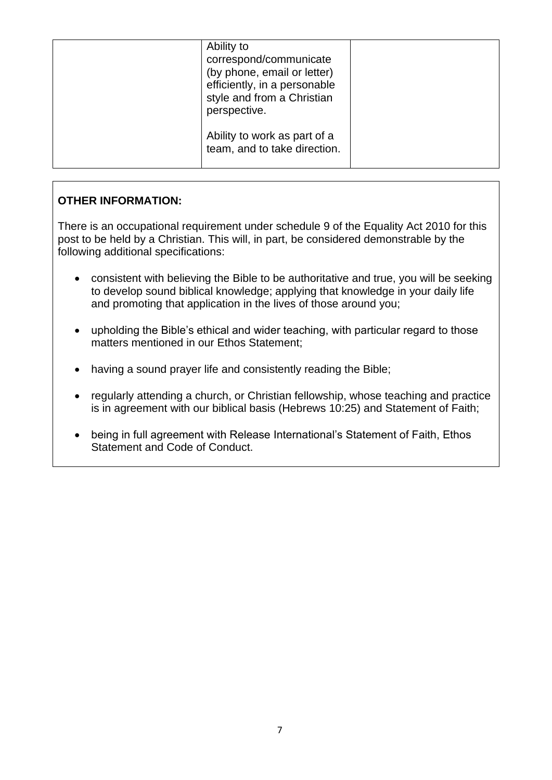| Ability to<br>correspond/communicate<br>(by phone, email or letter)<br>efficiently, in a personable<br>style and from a Christian<br>perspective. |  |
|---------------------------------------------------------------------------------------------------------------------------------------------------|--|
| Ability to work as part of a<br>team, and to take direction.                                                                                      |  |

## **OTHER INFORMATION:**

There is an occupational requirement under schedule 9 of the Equality Act 2010 for this post to be held by a Christian. This will, in part, be considered demonstrable by the following additional specifications:

- consistent with believing the Bible to be authoritative and true, you will be seeking to develop sound biblical knowledge; applying that knowledge in your daily life and promoting that application in the lives of those around you;
- upholding the Bible's ethical and wider teaching, with particular regard to those matters mentioned in our Ethos Statement;
- having a sound prayer life and consistently reading the Bible;
- regularly attending a church, or Christian fellowship, whose teaching and practice is in agreement with our biblical basis (Hebrews 10:25) and Statement of Faith;
- being in full agreement with Release International's Statement of Faith, Ethos Statement and Code of Conduct.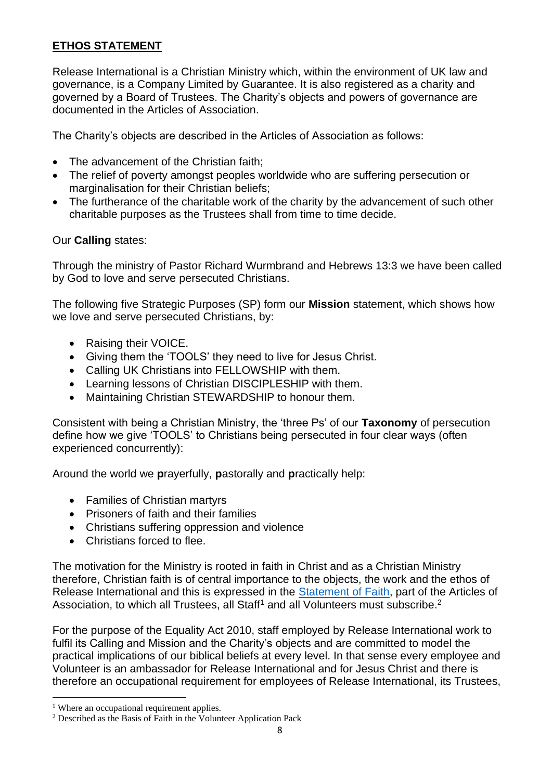### **ETHOS STATEMENT**

Release International is a Christian Ministry which, within the environment of UK law and governance, is a Company Limited by Guarantee. It is also registered as a charity and governed by a Board of Trustees. The Charity's objects and powers of governance are documented in the Articles of Association.

The Charity's objects are described in the Articles of Association as follows:

- The advancement of the Christian faith;
- The relief of poverty amongst peoples worldwide who are suffering persecution or marginalisation for their Christian beliefs;
- The furtherance of the charitable work of the charity by the advancement of such other charitable purposes as the Trustees shall from time to time decide.

### Our **Calling** states:

Through the ministry of Pastor Richard Wurmbrand and Hebrews 13:3 we have been called by God to love and serve persecuted Christians.

The following five Strategic Purposes (SP) form our **Mission** statement, which shows how we love and serve persecuted Christians, by:

- Raising their VOICE.
- Giving them the 'TOOLS' they need to live for Jesus Christ.
- Calling UK Christians into FELLOWSHIP with them.
- Learning lessons of Christian DISCIPLESHIP with them.
- Maintaining Christian STEWARDSHIP to honour them.

Consistent with being a Christian Ministry, the 'three Ps' of our **Taxonomy** of persecution define how we give 'TOOLS' to Christians being persecuted in four clear ways (often experienced concurrently):

Around the world we **p**rayerfully, **p**astorally and **p**ractically help:

- Families of Christian martyrs
- Prisoners of faith and their families
- Christians suffering oppression and violence
- Christians forced to flee.

The motivation for the Ministry is rooted in faith in Christ and as a Christian Ministry therefore, Christian faith is of central importance to the objects, the work and the ethos of Release International and this is expressed in the [Statement of Faith,](file://///ri-vm-file/shared/Release%20Policies%20and%20Procedures%20-%20LF/RI%20Statement%20of%20Faith) part of the Articles of Association, to which all Trustees, all Staff<sup>1</sup> and all Volunteers must subscribe.<sup>2</sup>

For the purpose of the Equality Act 2010, staff employed by Release International work to fulfil its Calling and Mission and the Charity's objects and are committed to model the practical implications of our biblical beliefs at every level. In that sense every employee and Volunteer is an ambassador for Release International and for Jesus Christ and there is therefore an occupational requirement for employees of Release International, its Trustees,

<sup>&</sup>lt;sup>1</sup> Where an occupational requirement applies.

<sup>2</sup> Described as the Basis of Faith in the Volunteer Application Pack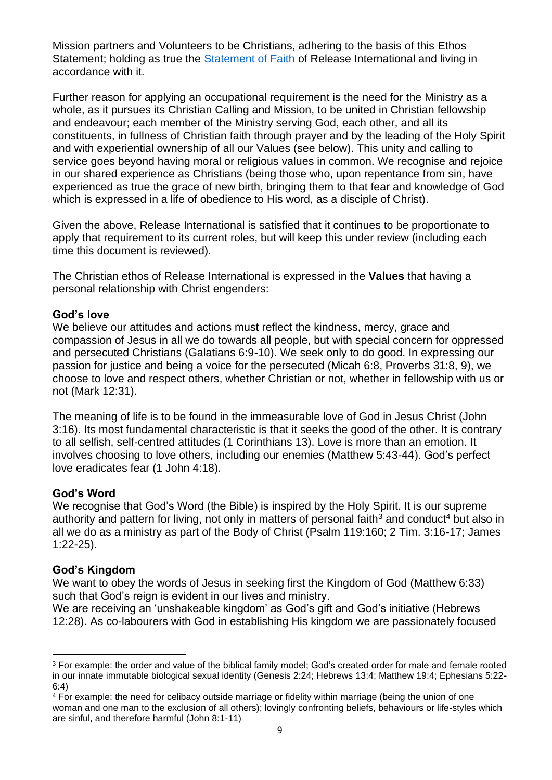Mission partners and Volunteers to be Christians, adhering to the basis of this [Ethos](file://///ri-vm-file/shared/Release%20Policies%20and%20Procedures%20-%20LF/RI%20Ethos%20Statement)  [Statement;](file://///ri-vm-file/shared/Release%20Policies%20and%20Procedures%20-%20LF/RI%20Ethos%20Statement) holding as true the [Statement of Faith](file://///ri-vm-file/shared/Release%20Policies%20and%20Procedures%20-%20LF/RI%20Statement%20of%20Faith) of Release International and living in accordance with it.

Further reason for applying an occupational requirement is the need for the Ministry as a whole, as it pursues its Christian Calling and Mission, to be united in Christian fellowship and endeavour; each member of the Ministry serving God, each other, and all its constituents, in fullness of Christian faith through prayer and by the leading of the Holy Spirit and with experiential ownership of all our Values (see below). This unity and calling to service goes beyond having moral or religious values in common. We recognise and rejoice in our shared experience as Christians (being those who, upon repentance from sin, have experienced as true the grace of new birth, bringing them to that fear and knowledge of God which is expressed in a life of obedience to His word, as a disciple of Christ).

Given the above, Release International is satisfied that it continues to be proportionate to apply that requirement to its current roles, but will keep this under review (including each time this document is reviewed).

The Christian ethos of Release International is expressed in the **Values** that having a personal relationship with Christ engenders:

#### **God's love**

We believe our attitudes and actions must reflect the kindness, mercy, grace and compassion of Jesus in all we do towards all people, but with special concern for oppressed and persecuted Christians (Galatians 6:9-10). We seek only to do good. In expressing our passion for justice and being a voice for the persecuted (Micah 6:8, Proverbs 31:8, 9), we choose to love and respect others, whether Christian or not, whether in fellowship with us or not (Mark 12:31).

The meaning of life is to be found in the immeasurable love of God in Jesus Christ (John 3:16). Its most fundamental characteristic is that it seeks the good of the other. It is contrary to all selfish, self-centred attitudes (1 Corinthians 13). Love is more than an emotion. It involves choosing to love others, including our enemies (Matthew 5:43-44). God's perfect love eradicates fear (1 John 4:18).

#### **God's Word**

We recognise that God's Word (the Bible) is inspired by the Holy Spirit. It is our supreme authority and pattern for living, not only in matters of personal faith<sup>3</sup> and conduct<sup>4</sup> but also in all we do as a ministry as part of the Body of Christ (Psalm 119:160; 2 Tim. 3:16-17; James 1:22-25).

#### **God's Kingdom**

We want to obey the words of Jesus in seeking first the Kingdom of God (Matthew 6:33) such that God's reign is evident in our lives and ministry.

We are receiving an 'unshakeable kingdom' as God's gift and God's initiative (Hebrews 12:28). As co-labourers with God in establishing His kingdom we are passionately focused

<sup>&</sup>lt;sup>3</sup> For example: the order and value of the biblical family model; God's created order for male and female rooted in our innate immutable biological sexual identity (Genesis 2:24; Hebrews 13:4; Matthew 19:4; Ephesians 5:22- 6:4)

<sup>4</sup> For example: the need for celibacy outside marriage or fidelity within marriage (being the union of one woman and one man to the exclusion of all others); lovingly confronting beliefs, behaviours or life-styles which are sinful, and therefore harmful (John 8:1-11)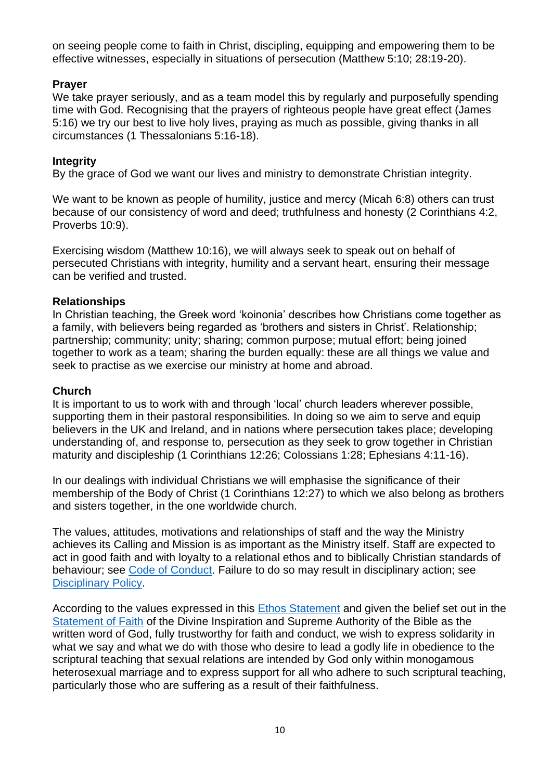on seeing people come to faith in Christ, discipling, equipping and empowering them to be effective witnesses, especially in situations of persecution (Matthew 5:10; 28:19-20).

### **Prayer**

We take prayer seriously, and as a team model this by regularly and purposefully spending time with God. Recognising that the prayers of righteous people have great effect (James 5:16) we try our best to live holy lives, praying as much as possible, giving thanks in all circumstances (1 Thessalonians 5:16-18).

#### **Integrity**

By the grace of God we want our lives and ministry to demonstrate Christian integrity.

We want to be known as people of humility, justice and mercy (Micah 6:8) others can trust because of our consistency of word and deed; truthfulness and honesty (2 Corinthians 4:2, Proverbs 10:9).

Exercising wisdom (Matthew 10:16), we will always seek to speak out on behalf of persecuted Christians with integrity, humility and a servant heart, ensuring their message can be verified and trusted.

#### **Relationships**

In Christian teaching, the Greek word 'koinonia' describes how Christians come together as a family, with believers being regarded as 'brothers and sisters in Christ'. Relationship; partnership; community; unity; sharing; common purpose; mutual effort; being joined together to work as a team; sharing the burden equally: these are all things we value and seek to practise as we exercise our ministry at home and abroad.

#### **Church**

It is important to us to work with and through 'local' church leaders wherever possible, supporting them in their pastoral responsibilities. In doing so we aim to serve and equip believers in the UK and Ireland, and in nations where persecution takes place; developing understanding of, and response to, persecution as they seek to grow together in Christian maturity and discipleship (1 Corinthians 12:26; Colossians 1:28; Ephesians 4:11-16).

In our dealings with individual Christians we will emphasise the significance of their membership of the Body of Christ (1 Corinthians 12:27) to which we also belong as brothers and sisters together, in the one worldwide church.

The values, attitudes, motivations and relationships of staff and the way the Ministry achieves its Calling and Mission is as important as the Ministry itself. Staff are expected to act in good faith and with loyalty to a relational ethos and to biblically Christian standards of behaviour; see [Code of Conduct.](file://///ri-vm-file/shared/Release%20Policies%20and%20Procedures%20-%20LF/RI%20Code%20of%20Conduct) Failure to do so may result in disciplinary action; see [Disciplinary Policy.](file://///ri-vm-file/shared/Release%20Policies%20and%20Procedures%20-%20LF/RI%20Disciplinary%20Policy)

According to the values expressed in this **Ethos Statement** and given the belief set out in the [Statement of Faith](file://///ri-vm-file/shared/Release%20Policies%20and%20Procedures%20-%20LF/RI%20Statement%20of%20Faith) of the Divine Inspiration and Supreme Authority of the Bible as the written word of God, fully trustworthy for faith and conduct, we wish to express solidarity in what we say and what we do with those who desire to lead a godly life in obedience to the scriptural teaching that sexual relations are intended by God only within monogamous heterosexual marriage and to express support for all who adhere to such scriptural teaching, particularly those who are suffering as a result of their faithfulness.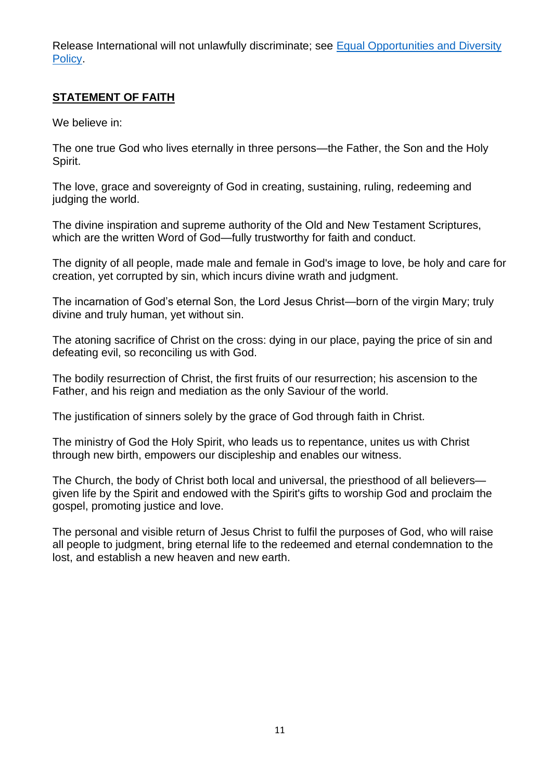Release International will not unlawfully discriminate; see [Equal Opportunities and Diversity](file://///ri-vm-file/shared/Release%20Policies%20and%20Procedures%20-%20LF/RI%20Equal%20Opportunities%20and%20Diversity%20Policy)  [Policy.](file://///ri-vm-file/shared/Release%20Policies%20and%20Procedures%20-%20LF/RI%20Equal%20Opportunities%20and%20Diversity%20Policy)

## **STATEMENT OF FAITH**

We believe in:

The one true God who lives eternally in three persons—the Father, the Son and the Holy Spirit.

The love, grace and sovereignty of God in creating, sustaining, ruling, redeeming and judging the world.

The divine inspiration and supreme authority of the Old and New Testament Scriptures, which are the written Word of God—fully trustworthy for faith and conduct.

The dignity of all people, made male and female in God's image to love, be holy and care for creation, yet corrupted by sin, which incurs divine wrath and judgment.

The incarnation of God's eternal Son, the Lord Jesus Christ—born of the virgin Mary; truly divine and truly human, yet without sin.

The atoning sacrifice of Christ on the cross: dying in our place, paying the price of sin and defeating evil, so reconciling us with God.

The bodily resurrection of Christ, the first fruits of our resurrection; his ascension to the Father, and his reign and mediation as the only Saviour of the world.

The justification of sinners solely by the grace of God through faith in Christ.

The ministry of God the Holy Spirit, who leads us to repentance, unites us with Christ through new birth, empowers our discipleship and enables our witness.

The Church, the body of Christ both local and universal, the priesthood of all believers given life by the Spirit and endowed with the Spirit's gifts to worship God and proclaim the gospel, promoting justice and love.

The personal and visible return of Jesus Christ to fulfil the purposes of God, who will raise all people to judgment, bring eternal life to the redeemed and eternal condemnation to the lost, and establish a new heaven and new earth.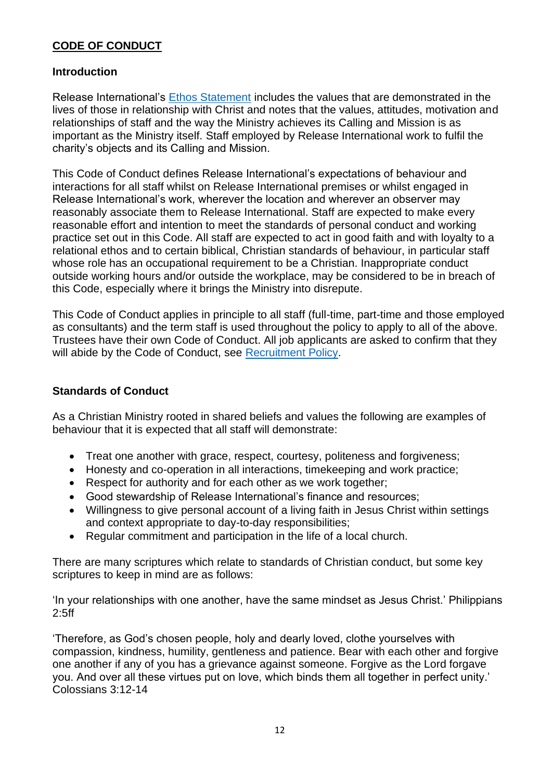### **CODE OF CONDUCT**

### **Introduction**

Release International's [Ethos Statement](file://///ri-vm-file/shared/Release%20Policies%20and%20Procedures%20-%20LF/RI%20Ethos%20Statement) includes the values that are demonstrated in the lives of those in relationship with Christ and notes that the values, attitudes, motivation and relationships of staff and the way the Ministry achieves its Calling and Mission is as important as the Ministry itself. Staff employed by Release International work to fulfil the charity's objects and its Calling and Mission.

This Code of Conduct defines Release International's expectations of behaviour and interactions for all staff whilst on Release International premises or whilst engaged in Release International's work, wherever the location and wherever an observer may reasonably associate them to Release International. Staff are expected to make every reasonable effort and intention to meet the standards of personal conduct and working practice set out in this Code. All staff are expected to act in good faith and with loyalty to a relational ethos and to certain biblical, Christian standards of behaviour, in particular staff whose role has an occupational requirement to be a Christian. Inappropriate conduct outside working hours and/or outside the workplace, may be considered to be in breach of this Code, especially where it brings the Ministry into disrepute.

This Code of Conduct applies in principle to all staff (full-time, part-time and those employed as consultants) and the term staff is used throughout the policy to apply to all of the above. Trustees have their own Code of Conduct. All job applicants are asked to confirm that they will abide by the Code of Conduct, see [Recruitment Policy.](file://///ri-vm-file/shared/Release%20Policies%20and%20Procedures%20-%20LF/RI%20Recruitment%20Policy)

#### **Standards of Conduct**

As a Christian Ministry rooted in shared beliefs and values the following are examples of behaviour that it is expected that all staff will demonstrate:

- Treat one another with grace, respect, courtesy, politeness and forgiveness;
- Honesty and co-operation in all interactions, timekeeping and work practice;
- Respect for authority and for each other as we work together;
- Good stewardship of Release International's finance and resources;
- Willingness to give personal account of a living faith in Jesus Christ within settings and context appropriate to day-to-day responsibilities;
- Regular commitment and participation in the life of a local church.

There are many scriptures which relate to standards of Christian conduct, but some key scriptures to keep in mind are as follows:

'In your relationships with one another, have the same mindset as Jesus Christ.' Philippians 2:5ff

'Therefore, as God's chosen people, holy and dearly loved, clothe yourselves with compassion, kindness, humility, gentleness and patience. Bear with each other and forgive one another if any of you has a grievance against someone. Forgive as the Lord forgave you. And over all these virtues put on love, which binds them all together in perfect unity.' Colossians 3:12-14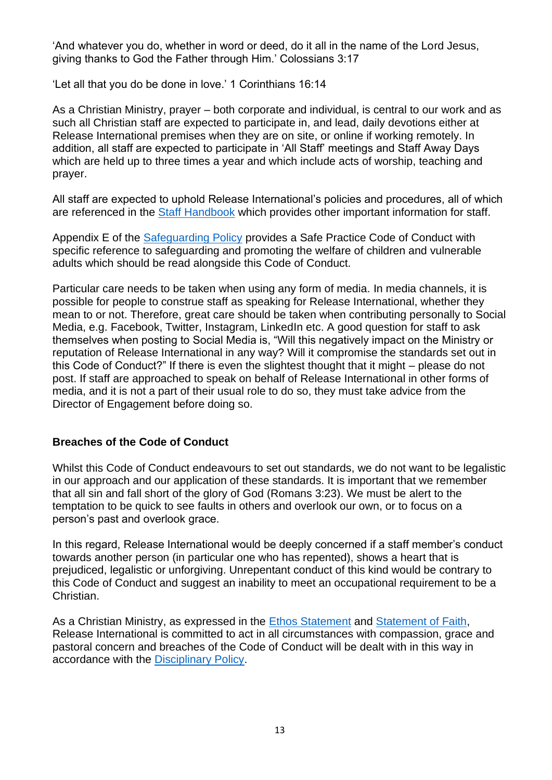'And whatever you do, whether in word or deed, do it all in the name of the Lord Jesus, giving thanks to God the Father through Him.' Colossians 3:17

'Let all that you do be done in love.' 1 Corinthians 16:14

As a Christian Ministry, prayer – both corporate and individual, is central to our work and as such all Christian staff are expected to participate in, and lead, daily devotions either at Release International premises when they are on site, or online if working remotely. In addition, all staff are expected to participate in 'All Staff' meetings and Staff Away Days which are held up to three times a year and which include acts of worship, teaching and prayer.

All staff are expected to uphold Release International's policies and procedures, all of which are referenced in the [Staff Handbook](file://///ri-vm-file/shared/Release%20Policies%20and%20Procedures%20-%20LF/Staff%20Handbook) which provides other important information for staff.

Appendix E of the [Safeguarding Policy](file://///ri-vm-file/shared/Release%20Policies%20and%20Procedures%20-%20LF/RI%20Safeguarding%20Policy) provides a Safe Practice Code of Conduct with specific reference to safeguarding and promoting the welfare of children and vulnerable adults which should be read alongside this Code of Conduct.

Particular care needs to be taken when using any form of media. In media channels, it is possible for people to construe staff as speaking for Release International, whether they mean to or not. Therefore, great care should be taken when contributing personally to Social Media, e.g. Facebook, Twitter, Instagram, LinkedIn etc. A good question for staff to ask themselves when posting to Social Media is, "Will this negatively impact on the Ministry or reputation of Release International in any way? Will it compromise the standards set out in this Code of Conduct?" If there is even the slightest thought that it might – please do not post. If staff are approached to speak on behalf of Release International in other forms of media, and it is not a part of their usual role to do so, they must take advice from the Director of Engagement before doing so.

#### **Breaches of the Code of Conduct**

Whilst this Code of Conduct endeavours to set out standards, we do not want to be legalistic in our approach and our application of these standards. It is important that we remember that all sin and fall short of the glory of God (Romans 3:23). We must be alert to the temptation to be quick to see faults in others and overlook our own, or to focus on a person's past and overlook grace.

In this regard, Release International would be deeply concerned if a staff member's conduct towards another person (in particular one who has repented), shows a heart that is prejudiced, legalistic or unforgiving. Unrepentant conduct of this kind would be contrary to this Code of Conduct and suggest an inability to meet an occupational requirement to be a Christian.

As a Christian Ministry, as expressed in the [Ethos Statement](file://///ri-vm-file/shared/Release%20Policies%20and%20Procedures%20-%20LF/RI%20Ethos%20Statement) and [Statement of Faith,](file://///ri-vm-file/shared/Release%20Policies%20and%20Procedures%20-%20LF/RI%20Statement%20of%20Faith) Release International is committed to act in all circumstances with compassion, grace and pastoral concern and breaches of the Code of Conduct will be dealt with in this way in accordance with the [Disciplinary Policy.](file://///ri-vm-file/shared/Release%20Policies%20and%20Procedures%20-%20LF/RI%20Disciplinary%20Policy)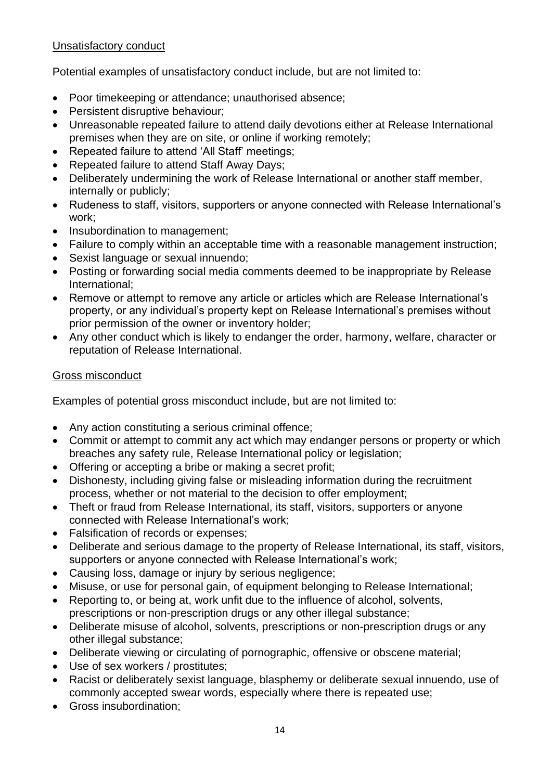### Unsatisfactory conduct

Potential examples of unsatisfactory conduct include, but are not limited to:

- Poor timekeeping or attendance; unauthorised absence;
- Persistent disruptive behaviour;
- Unreasonable repeated failure to attend daily devotions either at Release International premises when they are on site, or online if working remotely;
- Repeated failure to attend 'All Staff' meetings;
- Repeated failure to attend Staff Away Days;
- Deliberately undermining the work of Release International or another staff member, internally or publicly;
- Rudeness to staff, visitors, supporters or anyone connected with Release International's work;
- Insubordination to management;
- Failure to comply within an acceptable time with a reasonable management instruction;
- Sexist language or sexual innuendo;
- Posting or forwarding social media comments deemed to be inappropriate by Release International;
- Remove or attempt to remove any article or articles which are Release International's property, or any individual's property kept on Release International's premises without prior permission of the owner or inventory holder;
- Any other conduct which is likely to endanger the order, harmony, welfare, character or reputation of Release International.

#### Gross misconduct

Examples of potential gross misconduct include, but are not limited to:

- Any action constituting a serious criminal offence;
- Commit or attempt to commit any act which may endanger persons or property or which breaches any safety rule, Release International policy or legislation;
- Offering or accepting a bribe or making a secret profit;
- Dishonesty, including giving false or misleading information during the recruitment process, whether or not material to the decision to offer employment;
- Theft or fraud from Release International, its staff, visitors, supporters or anyone connected with Release International's work;
- Falsification of records or expenses;
- Deliberate and serious damage to the property of Release International, its staff, visitors, supporters or anyone connected with Release International's work;
- Causing loss, damage or injury by serious negligence;
- Misuse, or use for personal gain, of equipment belonging to Release International;
- Reporting to, or being at, work unfit due to the influence of alcohol, solvents, prescriptions or non-prescription drugs or any other illegal substance;
- Deliberate misuse of alcohol, solvents, prescriptions or non-prescription drugs or any other illegal substance;
- Deliberate viewing or circulating of pornographic, offensive or obscene material;
- Use of sex workers / prostitutes;
- Racist or deliberately sexist language, blasphemy or deliberate sexual innuendo, use of commonly accepted swear words, especially where there is repeated use;
- Gross insubordination;